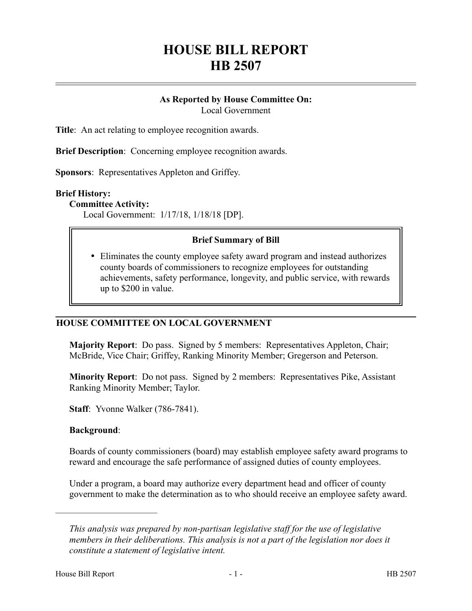# **HOUSE BILL REPORT HB 2507**

# **As Reported by House Committee On:**

Local Government

**Title**: An act relating to employee recognition awards.

**Brief Description**: Concerning employee recognition awards.

**Sponsors**: Representatives Appleton and Griffey.

#### **Brief History:**

#### **Committee Activity:**

Local Government: 1/17/18, 1/18/18 [DP].

#### **Brief Summary of Bill**

 Eliminates the county employee safety award program and instead authorizes county boards of commissioners to recognize employees for outstanding achievements, safety performance, longevity, and public service, with rewards up to \$200 in value.

#### **HOUSE COMMITTEE ON LOCAL GOVERNMENT**

**Majority Report**: Do pass. Signed by 5 members: Representatives Appleton, Chair; McBride, Vice Chair; Griffey, Ranking Minority Member; Gregerson and Peterson.

**Minority Report**: Do not pass. Signed by 2 members: Representatives Pike, Assistant Ranking Minority Member; Taylor.

**Staff**: Yvonne Walker (786-7841).

#### **Background**:

––––––––––––––––––––––

Boards of county commissioners (board) may establish employee safety award programs to reward and encourage the safe performance of assigned duties of county employees.

Under a program, a board may authorize every department head and officer of county government to make the determination as to who should receive an employee safety award.

*This analysis was prepared by non-partisan legislative staff for the use of legislative members in their deliberations. This analysis is not a part of the legislation nor does it constitute a statement of legislative intent.*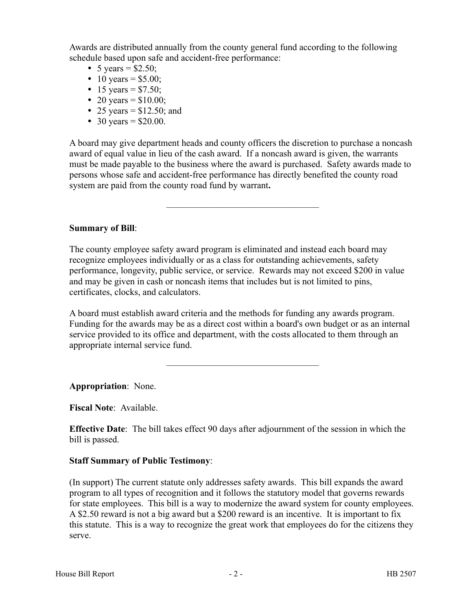Awards are distributed annually from the county general fund according to the following schedule based upon safe and accident-free performance:

- 5 years =  $$2.50;$
- 10 years =  $$5.00;$
- 15 years =  $$7.50;$
- 20 years =  $$10.00;$
- 25 years =  $$12.50$ ; and
- 30 years =  $$20.00$ .

A board may give department heads and county officers the discretion to purchase a noncash award of equal value in lieu of the cash award. If a noncash award is given, the warrants must be made payable to the business where the award is purchased. Safety awards made to persons whose safe and accident-free performance has directly benefited the county road system are paid from the county road fund by warrant**.**

–––––––––––––––––––––––––––––––––

### **Summary of Bill**:

The county employee safety award program is eliminated and instead each board may recognize employees individually or as a class for outstanding achievements, safety performance, longevity, public service, or service. Rewards may not exceed \$200 in value and may be given in cash or noncash items that includes but is not limited to pins, certificates, clocks, and calculators.

A board must establish award criteria and the methods for funding any awards program. Funding for the awards may be as a direct cost within a board's own budget or as an internal service provided to its office and department, with the costs allocated to them through an appropriate internal service fund.

–––––––––––––––––––––––––––––––––

**Appropriation**: None.

**Fiscal Note**: Available.

**Effective Date**: The bill takes effect 90 days after adjournment of the session in which the bill is passed.

## **Staff Summary of Public Testimony**:

(In support) The current statute only addresses safety awards. This bill expands the award program to all types of recognition and it follows the statutory model that governs rewards for state employees. This bill is a way to modernize the award system for county employees. A \$2.50 reward is not a big award but a \$200 reward is an incentive. It is important to fix this statute. This is a way to recognize the great work that employees do for the citizens they serve.